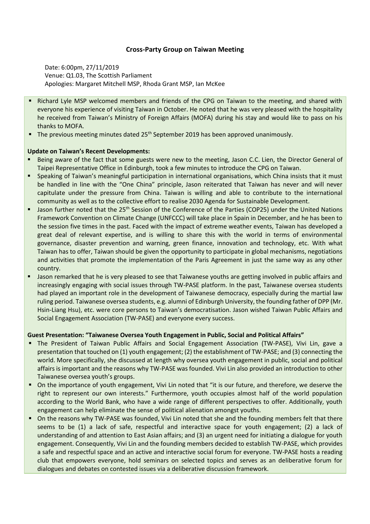# **Cross-Party Group on Taiwan Meeting**

Date: 6:00pm, 27/11/2019 Venue: Q1.03, The Scottish Parliament Apologies: Margaret Mitchell MSP, Rhoda Grant MSP, Ian McKee

- Richard Lyle MSP welcomed members and friends of the CPG on Taiwan to the meeting, and shared with everyone his experience of visiting Taiwan in October. He noted that he was very pleased with the hospitality he received from Taiwan's Ministry of Foreign Affairs (MOFA) during his stay and would like to pass on his thanks to MOFA.
- **■** The previous meeting minutes dated  $25<sup>th</sup>$  September 2019 has been approved unanimously.

### **Update on Taiwan's Recent Developments:**

- Being aware of the fact that some guests were new to the meeting, Jason C.C. Lien, the Director General of Taipei Representative Office in Edinburgh, took a few minutes to introduce the CPG on Taiwan.
- Speaking of Taiwan's meaningful participation in international organisations, which China insists that it must be handled in line with the "One China" principle, Jason reiterated that Taiwan has never and will never capitulate under the pressure from China. Taiwan is willing and able to contribute to the international community as well as to the collective effort to realise 2030 Agenda for Sustainable Development.
- Jason further noted that the 25<sup>th</sup> Session of the Conference of the Parties (COP25) under the United Nations Framework Convention on Climate Change (UNFCCC) will take place in Spain in December, and he has been to the session five times in the past. Faced with the impact of extreme weather events, Taiwan has developed a great deal of relevant expertise, and is willing to share this with the world in terms of environmental governance, disaster prevention and warning, green finance, innovation and technology, etc. With what Taiwan has to offer, Taiwan should be given the opportunity to participate in global mechanisms, negotiations and activities that promote the implementation of the Paris Agreement in just the same way as any other country.
- **■** Jason remarked that he is very pleased to see that Taiwanese youths are getting involved in public affairs and increasingly engaging with social issues through TW-PASE platform. In the past, Taiwanese oversea students had played an important role in the development of Taiwanese democracy, especially during the martial law ruling period. Taiwanese oversea students, e.g. alumni of Edinburgh University, the founding father of DPP (Mr. Hsin-Liang Hsu), etc. were core persons to Taiwan's democratisation. Jason wished Taiwan Public Affairs and Social Engagement Association (TW-PASE) and everyone every success.

#### **Guest Presentation: "Taiwanese Oversea Youth Engagement in Public, Social and Political Affairs"**

- The President of Taiwan Public Affairs and Social Engagement Association (TW-PASE), Vivi Lin, gave a presentation that touched on (1) youth engagement; (2) the establishment of TW-PASE; and (3) connecting the world. More specifically, she discussed at length why oversea youth engagement in public, social and political affairs is important and the reasons why TW-PASE was founded. Vivi Lin also provided an introduction to other Taiwanese oversea youth's groups.
- On the importance of youth engagement, Vivi Lin noted that "it is our future, and therefore, we deserve the right to represent our own interests." Furthermore, youth occupies almost half of the world population according to the World Bank, who have a wide range of different perspectives to offer. Additionally, youth engagement can help eliminate the sense of political alienation amongst youths.
- On the reasons why TW-PASE was founded, Vivi Lin noted that she and the founding members felt that there seems to be (1) a lack of safe, respectful and interactive space for youth engagement; (2) a lack of understanding of and attention to East Asian affairs; and (3) an urgent need for initiating a dialogue for youth engagement. Consequently, Vivi Lin and the founding members decided to establish TW-PASE, which provides a safe and respectful space and an active and interactive social forum for everyone. TW-PASE hosts a reading club that empowers everyone, hold seminars on selected topics and serves as an deliberative forum for dialogues and debates on contested issues via a deliberative discussion framework.